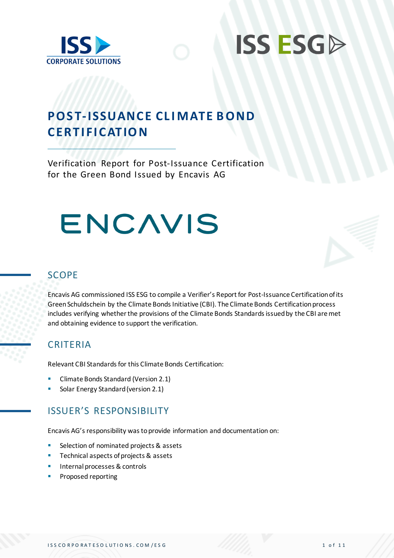



# **POST-ISSUANCE CLIMATE BOND CER TI FI CATIO N**

Verification Report for Post-Issuance Certification for the Green Bond Issued by Encavis AG

# ENCAVIS



### SCOPE

Encavis AG commissioned ISS ESG to compile a Verifier's Report for Post-Issuance Certification of its Green Schuldschein by the Climate Bonds Initiative (CBI). The Climate Bonds Certification process includes verifying whether the provisions of the Climate Bonds Standards issued by the CBI are met and obtaining evidence to support the verification.

### **CRITERIA**

Relevant CBI Standards for this Climate Bonds Certification:

- Climate Bonds Standard (Version 2.1)
- Solar Energy Standard (version 2.1)

## ISSUER'S RESPONSIBILITY

Encavis AG's responsibility was to provide information and documentation on:

- Selection of nominated projects & assets
- Technical aspects of projects & assets
- Internal processes & controls
- Proposed reporting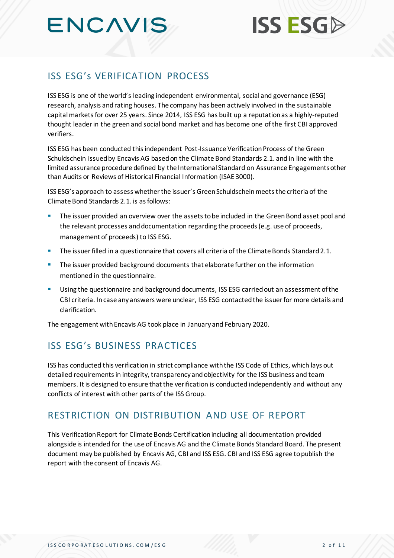# **ENCAVIS**

# ISS ESG's VERIFICATION PROCESS

ISS ESG is one of the world's leading independent environmental, social and governance (ESG) research, analysis and rating houses. The company has been actively involved in the sustainable capital markets for over 25 years. Since 2014, ISS ESG has built up a reputation as a highly-reputed thought leader in the green and social bond market and has become one of the first CBI approved verifiers.

ISS ESG has been conducted this independent Post-Issuance Verification Process of the Green Schuldschein issued by Encavis AG based on the Climate Bond Standards 2.1. and in line with the limited assurance procedure defined by the International Standard on Assurance Engagements other than Audits or Reviews of Historical Financial Information (ISAE 3000).

ISS ESG's approach to assess whether the issuer's Green Schuldschein meets the criteria of the Climate Bond Standards 2.1. is as follows:

- The issuer provided an overview over the assets to be included in the Green Bond asset pool and the relevant processes and documentation regarding the proceeds (e.g. use of proceeds, management of proceeds) to ISS ESG.
- The issuer filled in a questionnaire that covers all criteria of the Climate Bonds Standard 2.1.
- **•** The issuer provided background documents that elaborate further on the information mentioned in the questionnaire.
- Using the questionnaire and background documents, ISS ESG carried out an assessment of the CBI criteria. In case any answers were unclear, ISS ESG contacted the issuer for more details and clarification.

The engagement with Encavis AG took place in January and February 2020.

# ISS ESG's BUSINESS PRACTICES

ISS has conducted this verification in strict compliance with the ISS Code of Ethics, which lays out detailed requirements in integrity, transparency and objectivity for the ISS business and team members. It is designed to ensure that the verification is conducted independently and without any conflicts of interest with other parts of the ISS Group.

## RESTRICTION ON DISTRIBUTION AND USE OF REPORT

This Verification Report for Climate Bonds Certification including all documentation provided alongside is intended for the use of Encavis AG and the Climate Bonds Standard Board. The present document may be published by Encavis AG, CBI and ISS ESG. CBI and ISS ESG agree to publish the report with the consent of Encavis AG.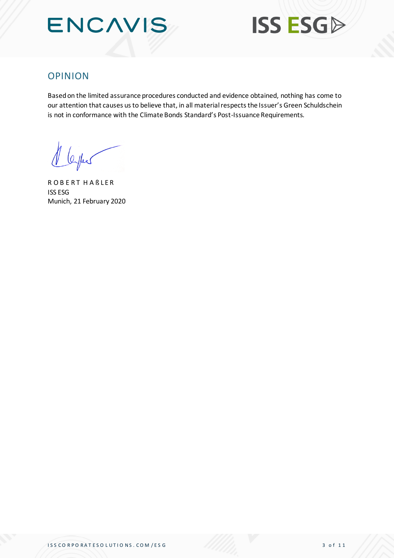



### OPINION

Based on the limited assurance procedures conducted and evidence obtained, nothing has come to our attention that causes us to believe that, in all material respects the Issuer's Green Schuldschein is not in conformance with the Climate Bonds Standard's Post-Issuance Requirements.

1 leyes

R O B E R T H A B L E R ISS ESG Munich, 21 February 2020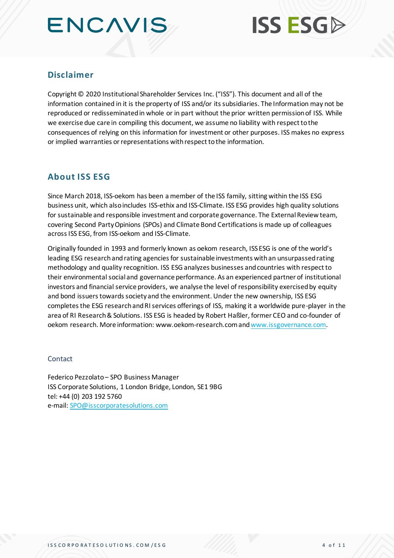# **ENCAVIS**



### **Disclaimer**

Copyright © 2020 Institutional Shareholder Services Inc. ("ISS"). This document and all of the information contained in it is the property of ISS and/or its subsidiaries. The Information may not be reproduced or redisseminated in whole or in part without the prior written permission of ISS. While we exercise due care in compiling this document, we assume no liability with respect to the consequences of relying on this information for investment or other purposes. ISS makes no express or implied warranties or representations with respect to the information.

### **About ISS ESG**

Since March 2018, ISS-oekom has been a member of the ISS family, sitting within the ISS ESG business unit, which also includes ISS-ethix and ISS-Climate. ISS ESG provides high quality solutions for sustainable and responsible investment and corporate governance. The External Review team, covering Second Party Opinions (SPOs) and Climate Bond Certifications is made up of colleagues across ISS ESG, from ISS-oekom and ISS-Climate.

Originally founded in 1993 and formerly known as oekom research, ISS ESG is one of the world's leading ESG research and rating agencies for sustainable investments with an unsurpassed rating methodology and quality recognition. ISS ESG analyzes businesses and countries with respect to their environmental social and governance performance. As an experienced partner of institutional investors and financial service providers, we analyse the level of responsibility exercised by equity and bond issuers towards society and the environment. Under the new ownership, ISS ESG completes the ESG research and RI services offerings of ISS, making it a worldwide pure-player in the area of RI Research & Solutions. ISS ESG is headed by Robert Haßler, former CEO and co-founder of oekom research. More information: www.oekom-research.com an[d www.issgovernance.com](http://www.issgovernance.com/).

#### Contact

Federico Pezzolato – SPO Business Manager ISS Corporate Solutions, 1 London Bridge, London, SE1 9BG tel: +44 (0) 203 192 5760 e-mail[: SPO@isscorporatesolutions.com](mailto:SPO@isscorporatesolutions.com)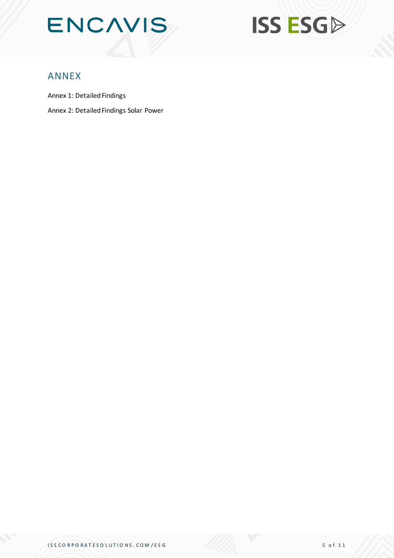



### ANNEX

Annex 1: Detailed Findings

Annex 2: Detailed Findings Solar Power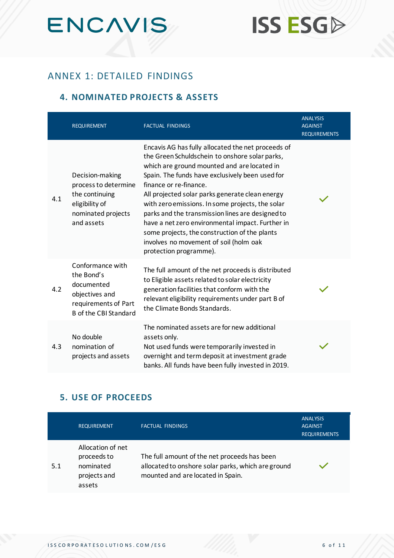

# **ISS ESGA**

# ANNEX 1: DETAILED FINDINGS

#### **4. NOMINATED PROJECTS & ASSETS**

|     | <b>REQUIREMENT</b>                                                                                                     | <b>FACTUAL FINDINGS</b>                                                                                                                                                                                                                                                                                                                                                                                                                                                                                                                                              | <b>ANALYSIS</b><br><b>AGAINST</b><br><b>REQUIREMENTS</b> |
|-----|------------------------------------------------------------------------------------------------------------------------|----------------------------------------------------------------------------------------------------------------------------------------------------------------------------------------------------------------------------------------------------------------------------------------------------------------------------------------------------------------------------------------------------------------------------------------------------------------------------------------------------------------------------------------------------------------------|----------------------------------------------------------|
| 4.1 | Decision-making<br>process to determine<br>the continuing<br>eligibility of<br>nominated projects<br>and assets        | Encavis AG has fully allocated the net proceeds of<br>the Green Schuldschein to onshore solar parks,<br>which are ground mounted and are located in<br>Spain. The funds have exclusively been used for<br>finance or re-finance.<br>All projected solar parks generate clean energy<br>with zero emissions. In some projects, the solar<br>parks and the transmission lines are designed to<br>have a net zero environmental impact. Further in<br>some projects, the construction of the plants<br>involves no movement of soil (holm oak<br>protection programme). |                                                          |
| 4.2 | Conformance with<br>the Bond's<br>documented<br>objectives and<br>requirements of Part<br><b>B</b> of the CBI Standard | The full amount of the net proceeds is distributed<br>to Eligible assets related to solar electricity<br>generation facilities that conform with the<br>relevant eligibility requirements under part B of<br>the Climate Bonds Standards.                                                                                                                                                                                                                                                                                                                            |                                                          |
| 4.3 | No double<br>nomination of<br>projects and assets                                                                      | The nominated assets are for new additional<br>assets only.<br>Not used funds were temporarily invested in<br>overnight and term deposit at investment grade<br>banks. All funds have been fully invested in 2019.                                                                                                                                                                                                                                                                                                                                                   |                                                          |

### **5. USE OF PROCEEDS**

|     | <b>REQUIREMENT</b>                                                      | <b>FACTUAL FINDINGS</b>                                                                                                                 | <b>ANALYSIS</b><br><b>AGAINST</b><br><b>REQUIREMENTS</b> |
|-----|-------------------------------------------------------------------------|-----------------------------------------------------------------------------------------------------------------------------------------|----------------------------------------------------------|
| 5.1 | Allocation of net<br>proceeds to<br>nominated<br>projects and<br>assets | The full amount of the net proceeds has been<br>allocated to onshore solar parks, which are ground<br>mounted and are located in Spain. |                                                          |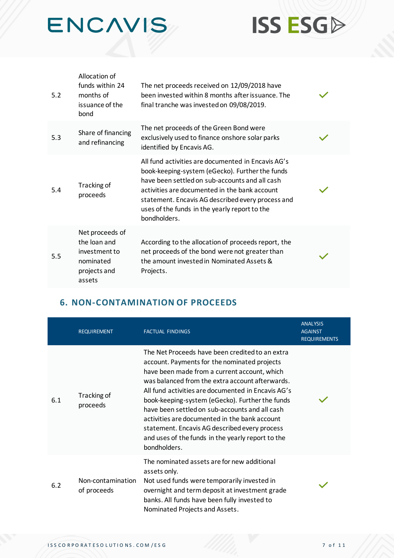



| 5.2 | Allocation of<br>funds within 24<br>months of<br>issuance of the<br>bond                | The net proceeds received on 12/09/2018 have<br>been invested within 8 months after issuance. The<br>final tranche was invested on 09/08/2019.                                                                                                                                                                                 |  |
|-----|-----------------------------------------------------------------------------------------|--------------------------------------------------------------------------------------------------------------------------------------------------------------------------------------------------------------------------------------------------------------------------------------------------------------------------------|--|
| 5.3 | Share of financing<br>and refinancing                                                   | The net proceeds of the Green Bond were<br>exclusively used to finance onshore solar parks<br>identified by Encavis AG.                                                                                                                                                                                                        |  |
| 5.4 | Tracking of<br>proceeds                                                                 | All fund activities are documented in Encavis AG's<br>book-keeping-system (eGecko). Further the funds<br>have been settled on sub-accounts and all cash<br>activities are documented in the bank account<br>statement. Encavis AG described every process and<br>uses of the funds in the yearly report to the<br>bondholders. |  |
| 5.5 | Net proceeds of<br>the loan and<br>investment to<br>nominated<br>projects and<br>assets | According to the allocation of proceeds report, the<br>net proceeds of the bond were not greater than<br>the amount invested in Nominated Assets &<br>Projects.                                                                                                                                                                |  |

# **6. NON-CONTAMINATION OF PROCEEDS**

|     | <b>REQUIREMENT</b>               | <b>FACTUAL FINDINGS</b>                                                                                                                                                                                                                                                                                                                                                                                                                                                                                                              | <b>ANALYSIS</b><br><b>AGAINST</b><br><b>REQUIREMENTS</b> |
|-----|----------------------------------|--------------------------------------------------------------------------------------------------------------------------------------------------------------------------------------------------------------------------------------------------------------------------------------------------------------------------------------------------------------------------------------------------------------------------------------------------------------------------------------------------------------------------------------|----------------------------------------------------------|
| 6.1 | Tracking of<br>proceeds          | The Net Proceeds have been credited to an extra<br>account. Payments for the nominated projects<br>have been made from a current account, which<br>was balanced from the extra account afterwards.<br>All fund activities are documented in Encavis AG's<br>book-keeping-system (eGecko). Further the funds<br>have been settled on sub-accounts and all cash<br>activities are documented in the bank account<br>statement. Encavis AG described every process<br>and uses of the funds in the yearly report to the<br>bondholders. |                                                          |
| 6.2 | Non-contamination<br>of proceeds | The nominated assets are for new additional<br>assets only.<br>Not used funds were temporarily invested in<br>overnight and term deposit at investment grade<br>banks. All funds have been fully invested to<br>Nominated Projects and Assets.                                                                                                                                                                                                                                                                                       |                                                          |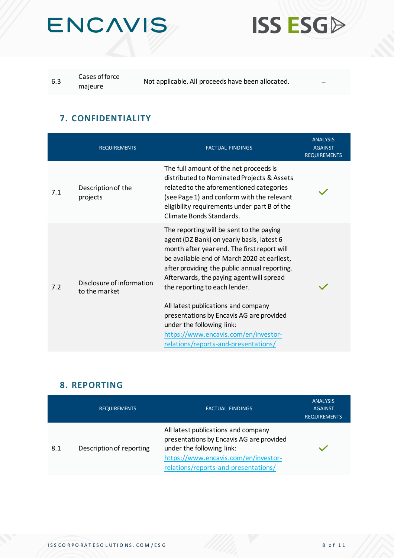



| 6.3 | Cases of force | Not applicable. All proceeds have been allocated. |  |
|-----|----------------|---------------------------------------------------|--|
|     | majeure        | $\sim$                                            |  |

### **7. CONFIDENTIALITY**

|     | <b>REQUIREMENTS</b>                        | <b>FACTUAL FINDINGS</b>                                                                                                                                                                                                                                                                                                                                                                                                                                                                                          | <b>ANALYSIS</b><br><b>AGAINST</b><br><b>REQUIREMENTS</b> |
|-----|--------------------------------------------|------------------------------------------------------------------------------------------------------------------------------------------------------------------------------------------------------------------------------------------------------------------------------------------------------------------------------------------------------------------------------------------------------------------------------------------------------------------------------------------------------------------|----------------------------------------------------------|
| 7.1 | Description of the<br>projects             | The full amount of the net proceeds is<br>distributed to Nominated Projects & Assets<br>related to the aforementioned categories<br>(see Page 1) and conform with the relevant<br>eligibility requirements under part B of the<br>Climate Bonds Standards.                                                                                                                                                                                                                                                       |                                                          |
| 7.2 | Disclosure of information<br>to the market | The reporting will be sent to the paying<br>agent (DZ Bank) on yearly basis, latest 6<br>month after year end. The first report will<br>be available end of March 2020 at earliest,<br>after providing the public annual reporting.<br>Afterwards, the paying agent will spread<br>the reporting to each lender.<br>All latest publications and company<br>presentations by Encavis AG are provided<br>under the following link:<br>https://www.encavis.com/en/investor-<br>relations/reports-and-presentations/ |                                                          |

### **8. REPORTING**

|     | <b>REQUIREMENTS</b>      | <b>FACTUAL FINDINGS</b>                                                                                                                                                                      | <b>ANALYSIS</b><br><b>AGAINST</b><br><b>REQUIREMENTS</b> |
|-----|--------------------------|----------------------------------------------------------------------------------------------------------------------------------------------------------------------------------------------|----------------------------------------------------------|
| 8.1 | Description of reporting | All latest publications and company<br>presentations by Encavis AG are provided<br>under the following link:<br>https://www.encavis.com/en/investor-<br>relations/reports-and-presentations/ |                                                          |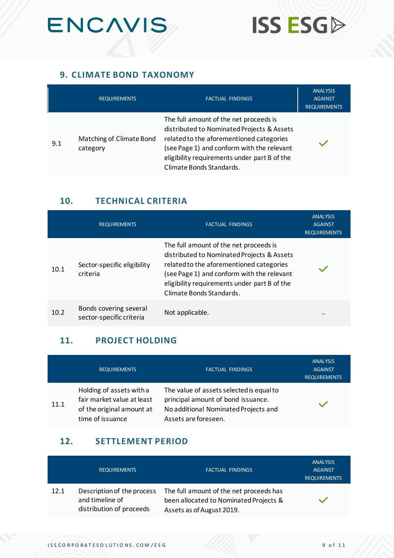



### **9. CLIMATE BOND TAXONOMY**

|     | <b>REQUIREMENTS</b>                  | <b>FACTUAL FINDINGS</b>                                                                                                                                                                                                                                    | <b>ANALYSIS</b><br><b>AGAINST</b><br><b>REQUIREMENTS</b> |
|-----|--------------------------------------|------------------------------------------------------------------------------------------------------------------------------------------------------------------------------------------------------------------------------------------------------------|----------------------------------------------------------|
| 9.1 | Matching of Climate Bond<br>category | The full amount of the net proceeds is<br>distributed to Nominated Projects & Assets<br>related to the aforementioned categories<br>(see Page 1) and conform with the relevant<br>eligibility requirements under part B of the<br>Climate Bonds Standards. |                                                          |

### **10. TECHNICAL CRITERIA**

|      | <b>REQUIREMENTS</b>                                | <b>FACTUAL FINDINGS</b>                                                                                                                                                                                                                                    | <b>ANALYSIS</b><br><b>AGAINST</b><br><b>REQUIREMENTS</b> |
|------|----------------------------------------------------|------------------------------------------------------------------------------------------------------------------------------------------------------------------------------------------------------------------------------------------------------------|----------------------------------------------------------|
| 10.1 | Sector-specific eligibility<br>criteria            | The full amount of the net proceeds is<br>distributed to Nominated Projects & Assets<br>related to the aforementioned categories<br>(see Page 1) and conform with the relevant<br>eligibility requirements under part B of the<br>Climate Bonds Standards. |                                                          |
| 10.2 | Bonds covering several<br>sector-specific criteria | Not applicable.                                                                                                                                                                                                                                            | $\sim$                                                   |

### **11. PROJECT HOLDING**

|      | <b>REQUIREMENTS</b>                                                                                     | <b>FACTUAL FINDINGS</b>                                                                                                                        | <b>ANALYSIS</b><br><b>AGAINST</b><br><b>REQUIREMENTS</b> |
|------|---------------------------------------------------------------------------------------------------------|------------------------------------------------------------------------------------------------------------------------------------------------|----------------------------------------------------------|
| 11.1 | Holding of assets with a<br>fair market value at least<br>of the original amount at<br>time of issuance | The value of assets selected is equal to<br>principal amount of bond issuance.<br>No additional Nominated Projects and<br>Assets are foreseen. |                                                          |

### **12. SETTLEMENT PERIOD**

|      | <b>REQUIREMENTS</b>                                                       | <b>FACTUAL FINDINGS</b>                                                                                        | <b>ANALYSIS</b><br><b>AGAINST</b><br><b>REQUIREMENTS</b> |
|------|---------------------------------------------------------------------------|----------------------------------------------------------------------------------------------------------------|----------------------------------------------------------|
| 12.1 | Description of the process<br>and timeline of<br>distribution of proceeds | The full amount of the net proceeds has<br>been allocated to Nominated Projects &<br>Assets as of August 2019. |                                                          |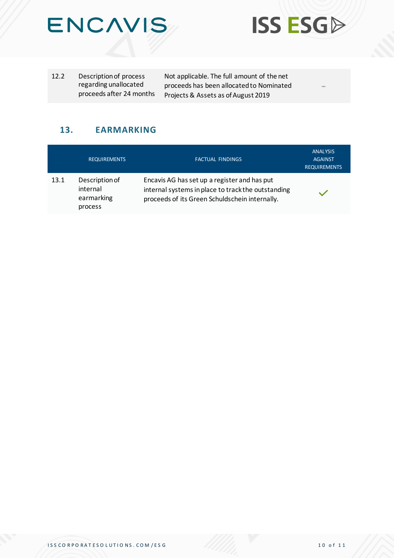



Not applicable. The full amount of the net proceeds has been allocated to Nominated Projects & Assets as of August 2019

-

**ISS ESGP** 

### **13. EARMARKING**

|      | <b>REQUIREMENTS</b>                                 | <b>FACTUAL FINDINGS</b>                                                                                                                              | <b>ANALYSIS</b><br><b>AGAINST</b><br><b>REQUIREMENTS</b> |
|------|-----------------------------------------------------|------------------------------------------------------------------------------------------------------------------------------------------------------|----------------------------------------------------------|
| 13.1 | Description of<br>internal<br>earmarking<br>process | Encavis AG has set up a register and has put<br>internal systems in place to track the outstanding<br>proceeds of its Green Schuldschein internally. |                                                          |